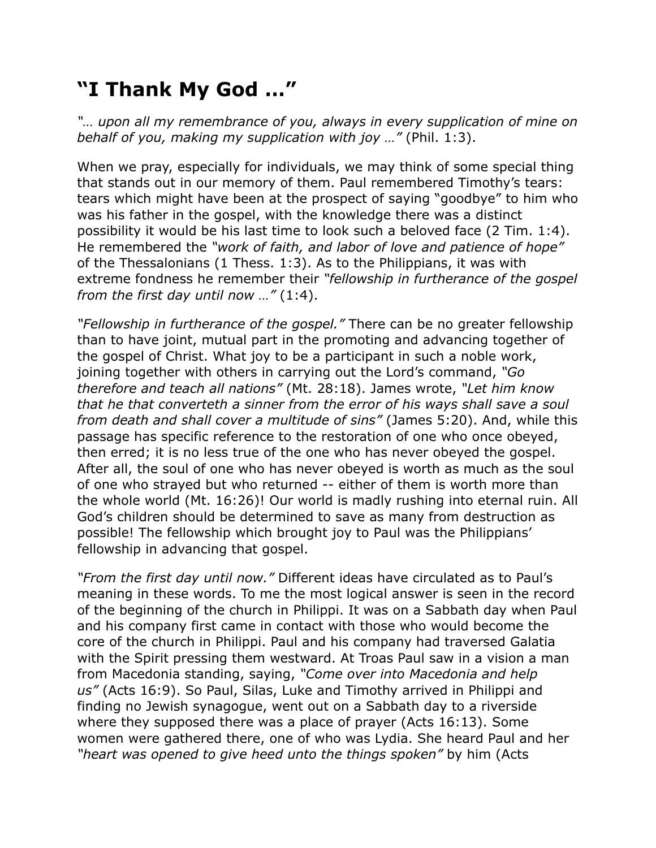## **"I Thank My God …"**

*"… upon all my remembrance of you, always in every supplication of mine on behalf of you, making my supplication with joy …"* (Phil. 1:3).

When we pray, especially for individuals, we may think of some special thing that stands out in our memory of them. Paul remembered Timothy's tears: tears which might have been at the prospect of saying "goodbye" to him who was his father in the gospel, with the knowledge there was a distinct possibility it would be his last time to look such a beloved face (2 Tim. 1:4). He remembered the *"work of faith, and labor of love and patience of hope"* of the Thessalonians (1 Thess. 1:3). As to the Philippians, it was with extreme fondness he remember their *"fellowship in furtherance of the gospel from the first day until now …"* (1:4).

*"Fellowship in furtherance of the gospel."* There can be no greater fellowship than to have joint, mutual part in the promoting and advancing together of the gospel of Christ. What joy to be a participant in such a noble work, joining together with others in carrying out the Lord's command, *"Go therefore and teach all nations"* (Mt. 28:18). James wrote, *"Let him know that he that converteth a sinner from the error of his ways shall save a soul from death and shall cover a multitude of sins"* (James 5:20). And, while this passage has specific reference to the restoration of one who once obeyed, then erred; it is no less true of the one who has never obeyed the gospel. After all, the soul of one who has never obeyed is worth as much as the soul of one who strayed but who returned -- either of them is worth more than the whole world (Mt. 16:26)! Our world is madly rushing into eternal ruin. All God's children should be determined to save as many from destruction as possible! The fellowship which brought joy to Paul was the Philippians' fellowship in advancing that gospel.

*"From the first day until now."* Different ideas have circulated as to Paul's meaning in these words. To me the most logical answer is seen in the record of the beginning of the church in Philippi. It was on a Sabbath day when Paul and his company first came in contact with those who would become the core of the church in Philippi. Paul and his company had traversed Galatia with the Spirit pressing them westward. At Troas Paul saw in a vision a man from Macedonia standing, saying, *"Come over into Macedonia and help us"* (Acts 16:9). So Paul, Silas, Luke and Timothy arrived in Philippi and finding no Jewish synagogue, went out on a Sabbath day to a riverside where they supposed there was a place of prayer (Acts 16:13). Some women were gathered there, one of who was Lydia. She heard Paul and her *"heart was opened to give heed unto the things spoken"* by him (Acts